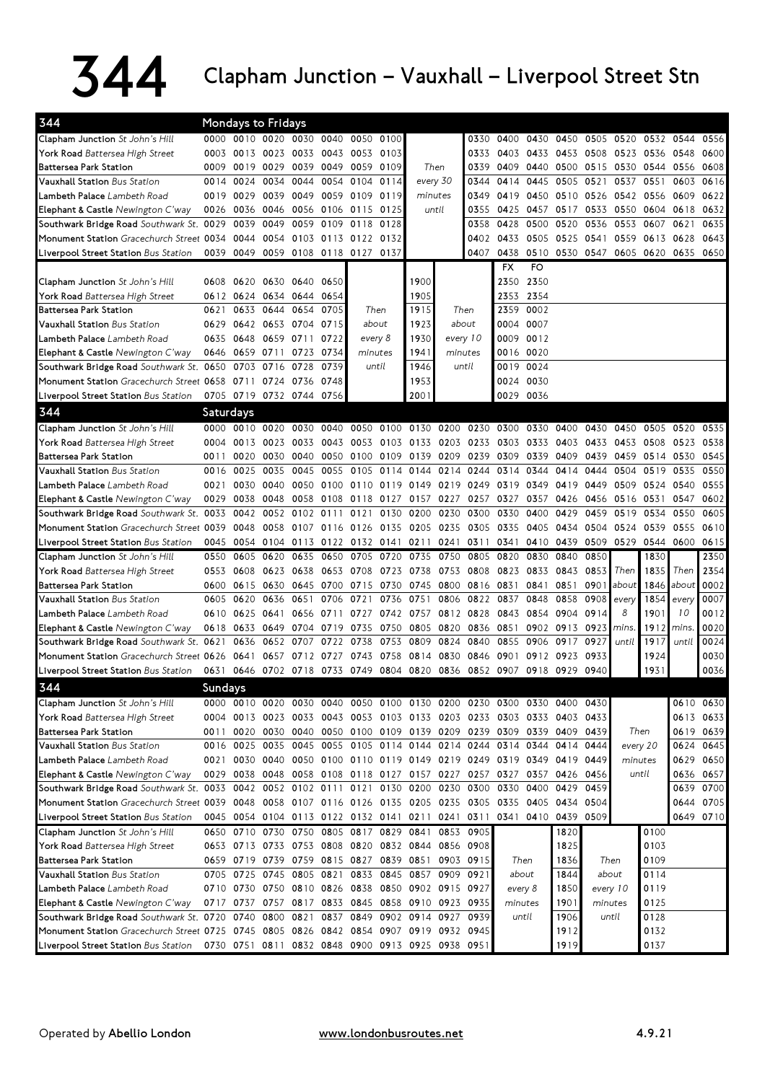## $344$  Clapham Junction – Vauxhall – Liverpool Street Stn

| 344                                                                                                       |                |                | Mondays to Fridays                 |                          |                |           |       |                                                   |           |           |                                                                       |           |                |           |                                         |           |             |           |
|-----------------------------------------------------------------------------------------------------------|----------------|----------------|------------------------------------|--------------------------|----------------|-----------|-------|---------------------------------------------------|-----------|-----------|-----------------------------------------------------------------------|-----------|----------------|-----------|-----------------------------------------|-----------|-------------|-----------|
| <b>Clapham Junction</b> St John's Hill                                                                    |                |                | 0000 0010 0020 0030 0040 0050 0100 |                          |                |           |       |                                                   |           |           | 0330                                                                  |           |                |           | 0400 0430 0450 0505 0520 0532 0544      |           |             | 0556      |
| <b>York Road</b> Battersea High Street                                                                    |                | 0003 0013 0023 |                                    | 0033                     | 0043 0053      |           | 0103  |                                                   |           | 0333      |                                                                       | 0403 0433 |                |           | 0453 0508 0523 0536                     |           | 0548        | 0600      |
| Battersea Park Station                                                                                    | 0009           | 0019 0029      |                                    | 0039 0049 0059           |                |           | 0109  | Then                                              |           | 0339      |                                                                       |           |                |           | 0409 0440 0500 0515 0530 0544 0556      |           |             | 0608      |
| <b>Vauxhall Station Bus Station</b>                                                                       | 0014           | 0024           | 0034                               | 0044                     |                | 0054 0104 | 0114  | every 30                                          |           | 0344      | 0414                                                                  | 0445      | 0505           |           | 0521 0537 0551                          |           | 0603        | 0616      |
| <b>Lambeth Palace</b> Lambeth Road                                                                        | 0019           | 0029 0039      |                                    | 0049 0059 0109           |                |           | 0119  | minutes                                           |           | 0349      |                                                                       |           |                |           | 0419 0450 0510 0526 0542 0556           |           | 0609        | 0622      |
| Elephant & Castle Newington C'way                                                                         | 0026           |                | 0036 0046                          |                          | 0056 0106 0115 |           | 0125  | until                                             |           | 0355      | 0425                                                                  | 0457      | 0517           | 0533      | 0550                                    | 0604      | 0618        | 0632      |
| Southwark Bridge Road Southwark St. 0029                                                                  |                | 0039           | 0049                               | 0059                     |                | 0109 0118 | 0128  |                                                   |           | 0358      | 0428                                                                  | 0500      | 0520           | 0536      | 0553                                    | 0607      | 0621        | 0635      |
| Monument Station Gracechurch Street 0034                                                                  |                | 0044           | 0054                               |                          | 0103 0113 0122 |           | 0132  |                                                   |           | 0402      | 0433 0505                                                             |           |                |           | 0525 0541 0559 0613 0628                |           |             | 0643      |
| Liverpool Street Station Bus Station                                                                      |                |                | 0039 0049 0059 0108 0118 0127 0137 |                          |                |           |       |                                                   |           | 0407      |                                                                       |           |                |           | 0438 0510 0530 0547 0605 0620 0635 0650 |           |             |           |
|                                                                                                           |                |                |                                    |                          |                |           |       |                                                   |           |           | <b>FX</b>                                                             | <b>FO</b> |                |           |                                         |           |             |           |
| <b>Clapham Junction</b> St John's Hill                                                                    |                |                | 0608 0620 0630 0640                |                          | 0650           |           |       | 1900                                              |           |           |                                                                       | 2350 2350 |                |           |                                         |           |             |           |
| York Road Battersea High Street                                                                           |                |                | 0612 0624 0634 0644                |                          | 0654           |           |       | 1905                                              |           |           |                                                                       | 2353 2354 |                |           |                                         |           |             |           |
| Battersea Park Station                                                                                    | 0621           |                | 0633 0644                          | 0654                     | 0705           | Then      |       | 1915                                              |           | Then      |                                                                       | 2359 0002 |                |           |                                         |           |             |           |
| Vauxhall Station Bus Station                                                                              |                |                | 0629 0642 0653 0704 0715           |                          |                | about     |       | 1923                                              |           | about     | 0004 0007                                                             |           |                |           |                                         |           |             |           |
| <b>Lambeth Palace</b> Lambeth Road                                                                        |                |                | 0635 0648 0659 0711 0722           |                          |                | every 8   |       | 1930                                              | every 10  |           |                                                                       | 0009 0012 |                |           |                                         |           |             |           |
| Elephant & Castle Newington C'way                                                                         | 0646           |                | 0659 0711                          | 0723                     | 0734           | minutes   |       | 1941                                              | minutes   |           |                                                                       | 0016 0020 |                |           |                                         |           |             |           |
| Southwark Bridge Road Southwark St. 0650 0703 0716                                                        |                |                |                                    | 0728                     | 0739           |           | until | 1946<br>until                                     |           |           |                                                                       | 0019 0024 |                |           |                                         |           |             |           |
| Monument Station Gracechurch Street 0658 0711 0724 0736 0748                                              |                |                |                                    |                          |                |           |       | 1953                                              |           |           |                                                                       | 0024 0030 |                |           |                                         |           |             |           |
| Liverpool Street Station Bus Station                                                                      |                |                | 0705 0719 0732 0744 0756           |                          |                |           |       | 2001                                              |           |           | 0029 0036                                                             |           |                |           |                                         |           |             |           |
| 344                                                                                                       | Saturdays      |                |                                    |                          |                |           |       |                                                   |           |           |                                                                       |           |                |           |                                         |           |             |           |
| Clapham Junction St John's Hill                                                                           |                | 0000 0010 0020 |                                    | 0030                     | 0040           |           |       |                                                   |           |           | 0050 0100 0130 0200 0230 0300 0330                                    |           | 0400 0430      |           | 0450                                    | 0505      | 0520        | 0535      |
| <b>York Road</b> Battersea High Street                                                                    | 0004           | 0013           | 0023                               | 0033                     |                |           |       |                                                   |           |           | 0043 0053 0103 0133 0203 0233 0303 0333                               |           |                |           | 0403 0433 0453 0508                     |           | 0523        | 0538      |
| Battersea Park Station                                                                                    | 0011           | 0020           | 0030                               | 0040                     |                | 0050 0100 | 0109  | 0139 0209                                         |           | 0239 0309 |                                                                       | 0339      | 0409           | 0439      | 0459                                    | 0514 0530 |             | 0545      |
| <b>Vauxhall Station Bus Station</b>                                                                       | 0016           | 0025           | 0035                               | 0045                     |                |           |       | 0055 0105 0114 0144 0214 0244                     |           |           | 0314 0344                                                             |           | 0414           | 0444      | 0504                                    | 0519      | 0535        | 0550      |
| <b>Lambeth Palace</b> Lambeth Road                                                                        | 0021           | 0030           | 0040                               |                          |                |           |       | 0050 0100 0110 0119 0149 0219                     |           |           | 0249 0319 0349                                                        |           | 0419           | 0449      | 0509                                    | 0524      | 0540        | 0555      |
| Elephant & Castle Newington C'way                                                                         | 0029           | 0038           | 0048                               | 0058                     |                | 0108 0118 |       | 0127 0157 0227                                    |           |           | 0257 0327                                                             | 0357      | 0426           | 0456      | 0516                                    | 0531      | 0547        | 0602      |
| Southwark Bridge Road Southwark St. 0033 0042 0052                                                        |                |                |                                    | 0102 0111 0121           |                |           | 0130  | 0200 0230                                         |           | 0300      | 0330                                                                  | 0400      | 0429           | 0459      | 0519 0534                               |           | 0550        | 0605      |
| Monument Station Gracechurch Street 0039 0048                                                             |                |                | 0058                               |                          |                |           |       | 0107 0116 0126 0135 0205 0235 0305 0335           |           |           |                                                                       | 0405      |                | 0434 0504 | 0524 0539                               |           | 0555        | 0610      |
| Liverpool Street Station Bus Station                                                                      |                |                |                                    |                          |                |           |       | 0045 0054 0104 0113 0122 0132 0141 0211 0241 0311 |           |           |                                                                       | 0341 0410 | 0439 0509 0529 |           |                                         | 0544      | 0600        | 0615      |
| <b>Clapham Junction</b> St John's Hill                                                                    | 0550           | 0605           | 0620                               | 0635                     | 0650           | 0705      | 0720  | 0735                                              | 0750      | 0805      | 0820                                                                  | 0830      | 0840           | 0850      |                                         | 1830      |             | 2350      |
| <b>York Road</b> Battersea High Street                                                                    |                | 0553 0608      | 0623                               | 0638                     |                |           |       | 0653 0708 0723 0738 0753                          |           |           | 0808 0823 0833                                                        |           | 0843 0853      |           | Then                                    | 1835      | Then        | 2354      |
| Battersea Park Station                                                                                    | 0600           | 0615           | 0630                               |                          | 0645 0700 0715 |           | 0730  | 0745 0800                                         |           |           | 0816 0831                                                             | 0841      | 0851           | 0901      | about                                   | 1846      | about       | 0002      |
| <b>Vauxhall Station</b> Bus Station                                                                       | 0605           | 0620           | 0636                               | 0651                     | 0706           | 0721      | 0736  | 0751                                              | 0806      | 0822      | 0837                                                                  | 0848      | 0858           | 0908      | every                                   | 1854      | every       | 0007      |
| <b>Lambeth Palace</b> Lambeth Road                                                                        |                | 0610 0625 0641 |                                    |                          | 0656 0711      | 0727      |       | 0742 0757 0812 0828                               |           |           | 0843 0854                                                             |           | 0904           | 0914      | 8                                       | 1901      | 10          | 0012      |
| Elephant & Castle Newington C'way                                                                         |                | 0618 0633 0649 |                                    | 0704                     |                | 0719 0735 | 0750  |                                                   | 0805 0820 | 0836      | 0851                                                                  | 0902      | 0913           | 0923      | mins.                                   | 1912      | <i>mins</i> | 0020      |
|                                                                                                           |                | 0636           | 0652                               | 0707                     | 0722           | 0738      | 0753  | 0809                                              | 0824      | 0840      | 0855                                                                  | 0906      | 0917           | 0927      | until                                   | 1917      | until       | 0024      |
| Southwark Bridge Road Southwark St. 0621<br>Monument Station Gracechurch Street 0626 0641                 |                |                |                                    | 0657 0712 0727 0743 0758 |                |           |       | 0814 0830                                         |           |           | 0846 0901                                                             |           | 0912 0923 0933 |           |                                         | 1924      |             | 0030      |
| Liverpool Street Station Bus Station                                                                      |                |                |                                    |                          |                |           |       | 0631 0646 0702 0718 0733 0749 0804 0820 0836      |           |           | 0852 0907 0918 0929 0940                                              |           |                |           |                                         | 1931      |             | 0036      |
|                                                                                                           |                |                |                                    |                          |                |           |       |                                                   |           |           |                                                                       |           |                |           |                                         |           |             |           |
| 344                                                                                                       | <b>Sundays</b> |                |                                    |                          |                |           |       |                                                   |           |           |                                                                       |           |                |           |                                         |           |             |           |
| Clapham Junction St John's Hill                                                                           |                |                |                                    |                          |                |           |       |                                                   |           |           | 0000 0010 0020 0030 0040 0050 0100 0130 0200 0230 0300 0330 0400 0430 |           |                |           |                                         |           |             | 0610 0630 |
| York Road Battersea High Street                                                                           |                |                |                                    |                          |                |           |       |                                                   |           |           | 0004 0013 0023 0033 0043 0053 0103 0133 0203 0233 0303 0333 0403 0433 |           |                |           |                                         |           |             | 0613 0633 |
| Battersea Park Station                                                                                    |                |                |                                    |                          |                |           |       |                                                   |           |           | 0011 0020 0030 0040 0050 0100 0109 0139 0209 0239 0309 0339 0409 0439 |           |                |           | Then                                    |           |             | 0619 0639 |
| <b>Vauxhall Station</b> Bus Station                                                                       |                |                |                                    |                          |                |           |       |                                                   |           |           | 0016 0025 0035 0045 0055 0105 0114 0144 0214 0244 0314 0344 0414 0444 |           |                |           | every 20                                |           |             | 0624 0645 |
| Lambeth Palace Lambeth Road                                                                               |                |                |                                    |                          |                |           |       |                                                   |           |           | 0021 0030 0040 0050 0100 0110 0119 0149 0219 0249 0319 0349 0419 0449 |           |                |           | minutes                                 |           |             | 0629 0650 |
| Elephant & Castle Newington C'way                                                                         |                |                |                                    |                          |                |           |       |                                                   |           |           | 0029 0038 0048 0058 0108 0118 0127 0157 0227 0257 0327 0357 0426 0456 |           |                |           |                                         | until     |             | 0636 0657 |
| Southwark Bridge Road Southwark St. 0033 0042                                                             |                |                |                                    |                          |                |           |       | 0052 0102 0111 0121 0130 0200 0230 0300           |           |           | 0330 0400                                                             |           |                | 0429 0459 |                                         |           |             | 0639 0700 |
| Monument Station Gracechurch Street 0039 0048 0058 0107 0116 0126 0135 0205 0235 0305 0335 0405 0434 0504 |                |                |                                    |                          |                |           |       |                                                   |           |           |                                                                       |           |                |           |                                         |           |             | 0644 0705 |
| Liverpool Street Station Bus Station                                                                      |                |                |                                    |                          |                |           |       |                                                   |           |           | 0045 0054 0104 0113 0122 0132 0141 0211 0241 0311 0341 0410 0439 0509 |           |                |           |                                         |           |             | 0649 0710 |
| Clapham Junction St John's Hill                                                                           |                |                |                                    |                          |                |           |       | 0650 0710 0730 0750 0805 0817 0829 0841 0853 0905 |           |           |                                                                       |           | 1820           |           |                                         | 0100      |             |           |
| York Road Battersea High Street                                                                           |                |                |                                    |                          |                |           |       | 0653 0713 0733 0753 0808 0820 0832 0844 0856 0908 |           |           |                                                                       |           | 1825           |           |                                         | 0103      |             |           |
| Battersea Park Station                                                                                    |                |                |                                    |                          |                |           |       | 0659 0719 0739 0759 0815 0827 0839 0851 0903 0915 |           |           |                                                                       | Then      | 1836           |           | Then                                    | 0109      |             |           |
| Vauxhall Station Bus Station                                                                              |                | 0705 0725 0745 |                                    |                          |                |           |       | 0805 0821 0833 0845 0857 0909 0921                |           |           | about                                                                 |           | 1844           |           | about                                   | 0114      |             |           |
| <b>Lambeth Palace</b> Lambeth Road                                                                        |                |                |                                    |                          |                |           |       | 0710 0730 0750 0810 0826 0838 0850 0902 0915 0927 |           |           | every 8                                                               |           | 1850           | every 10  |                                         | 0119      |             |           |
| Elephant & Castle Newington C'way                                                                         |                |                |                                    |                          |                |           |       | 0717 0737 0757 0817 0833 0845 0858 0910 0923 0935 |           |           | minutes                                                               |           | 1901           | minutes   |                                         | 0125      |             |           |
| Southwark Bridge Road Southwark St. 0720 0740 0800                                                        |                |                |                                    | 0821                     |                |           |       | 0837 0849 0902 0914 0927 0939                     |           |           |                                                                       | until     | 1906           |           | until                                   | 0128      |             |           |
| Monument Station Gracechurch Street 0725 0745 0805 0826 0842 0854 0907 0919 0932 0945                     |                |                |                                    |                          |                |           |       |                                                   |           |           |                                                                       |           | 1912           |           |                                         | 0132      |             |           |
| Liverpool Street Station Bus Station                                                                      |                |                |                                    |                          |                |           |       | 0730 0751 0811 0832 0848 0900 0913 0925 0938 0951 |           |           |                                                                       |           | 1919           |           |                                         | 0137      |             |           |